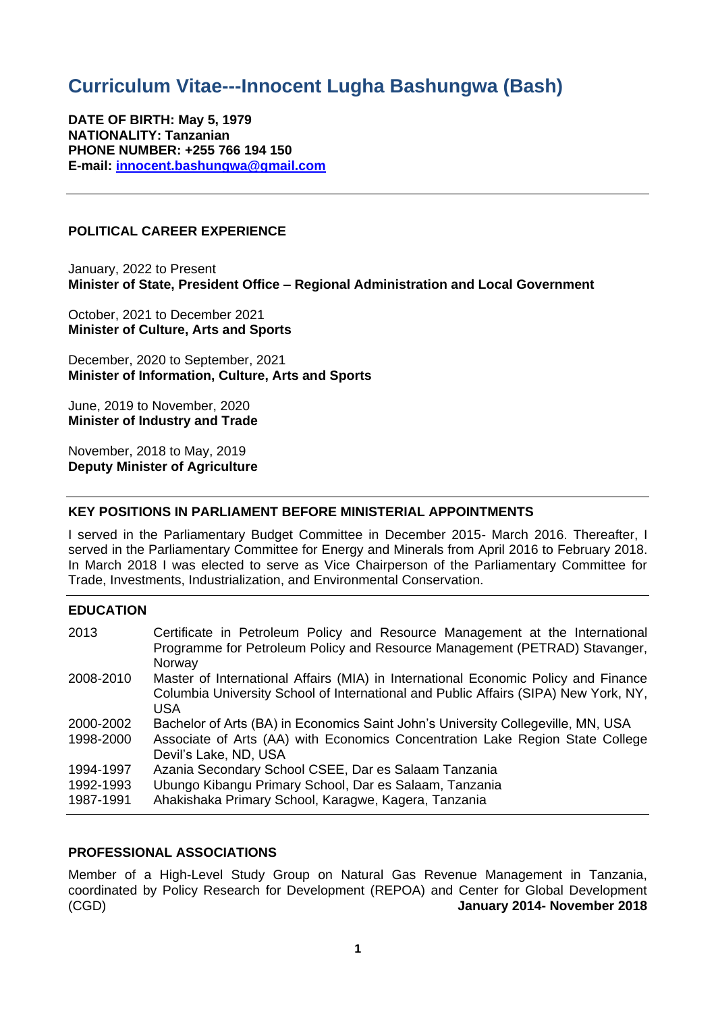# **Curriculum Vitae---Innocent Lugha Bashungwa (Bash)**

**DATE OF BIRTH: May 5, 1979 NATIONALITY: Tanzanian PHONE NUMBER: +255 766 194 150 E-mail: [innocent.bashungwa@gmail.com](mailto:innocent.bashungwa@gmail.com)**

## **POLITICAL CAREER EXPERIENCE**

January, 2022 to Present **Minister of State, President Office – Regional Administration and Local Government**

October, 2021 to December 2021 **Minister of Culture, Arts and Sports**

December, 2020 to September, 2021 **Minister of Information, Culture, Arts and Sports**

June, 2019 to November, 2020 **Minister of Industry and Trade**

November, 2018 to May, 2019 **Deputy Minister of Agriculture**

# **KEY POSITIONS IN PARLIAMENT BEFORE MINISTERIAL APPOINTMENTS**

I served in the Parliamentary Budget Committee in December 2015- March 2016. Thereafter, I served in the Parliamentary Committee for Energy and Minerals from April 2016 to February 2018. In March 2018 I was elected to serve as Vice Chairperson of the Parliamentary Committee for Trade, Investments, Industrialization, and Environmental Conservation.

## **EDUCATION**

| 2013      | Certificate in Petroleum Policy and Resource Management at the International<br>Programme for Petroleum Policy and Resource Management (PETRAD) Stavanger,<br>Norway             |
|-----------|----------------------------------------------------------------------------------------------------------------------------------------------------------------------------------|
| 2008-2010 | Master of International Affairs (MIA) in International Economic Policy and Finance<br>Columbia University School of International and Public Affairs (SIPA) New York, NY,<br>USA |
| 2000-2002 | Bachelor of Arts (BA) in Economics Saint John's University Collegeville, MN, USA                                                                                                 |
| 1998-2000 | Associate of Arts (AA) with Economics Concentration Lake Region State College<br>Devil's Lake, ND, USA                                                                           |
| 1994-1997 | Azania Secondary School CSEE, Dar es Salaam Tanzania                                                                                                                             |
| 1992-1993 | Ubungo Kibangu Primary School, Dar es Salaam, Tanzania                                                                                                                           |
| 1987-1991 | Ahakishaka Primary School, Karagwe, Kagera, Tanzania                                                                                                                             |

## **PROFESSIONAL ASSOCIATIONS**

Member of a High-Level Study Group on Natural Gas Revenue Management in Tanzania, coordinated by Policy Research for Development (REPOA) and Center for Global Development (CGD) **January 2014- November 2018**